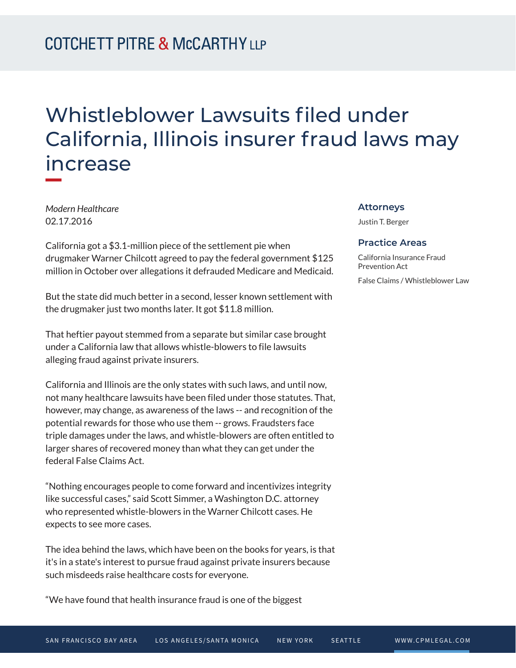# Whistleblower Lawsuits filed under California, Illinois insurer fraud laws may increase

*Modern Healthcare* 02.17.2016

California got a \$3.1-million piece of the settlement pie when drugmaker Warner Chilcott agreed to pay the federal government \$125 million in October over allegations it defrauded Medicare and Medicaid.

But the state did much better in a second, lesser known settlement with the drugmaker just two months later. It got \$11.8 million.

That heftier payout stemmed from a separate but similar case brought under a California law that allows whistle-blowers to file lawsuits alleging fraud against private insurers.

California and Illinois are the only states with such laws, and until now, not many healthcare lawsuits have been filed under those statutes. That, however, may change, as awareness of the laws -- and recognition of the potential rewards for those who use them -- grows. Fraudsters face triple damages under the laws, and whistle-blowers are often entitled to larger shares of recovered money than what they can get under the federal False Claims Act.

"Nothing encourages people to come forward and incentivizes integrity like successful cases," said Scott Simmer, a Washington D.C. attorney who represented whistle-blowers in the Warner Chilcott cases. He expects to see more cases.

The idea behind the laws, which have been on the books for years, is that it's in a state's interest to pursue fraud against private insurers because such misdeeds raise healthcare costs for everyone.

"We have found that health insurance fraud is one of the biggest

#### **Attorneys**

Justin T. Berger

#### **Practice Areas**

California Insurance Fraud Prevention Act False Claims / Whistleblower Law